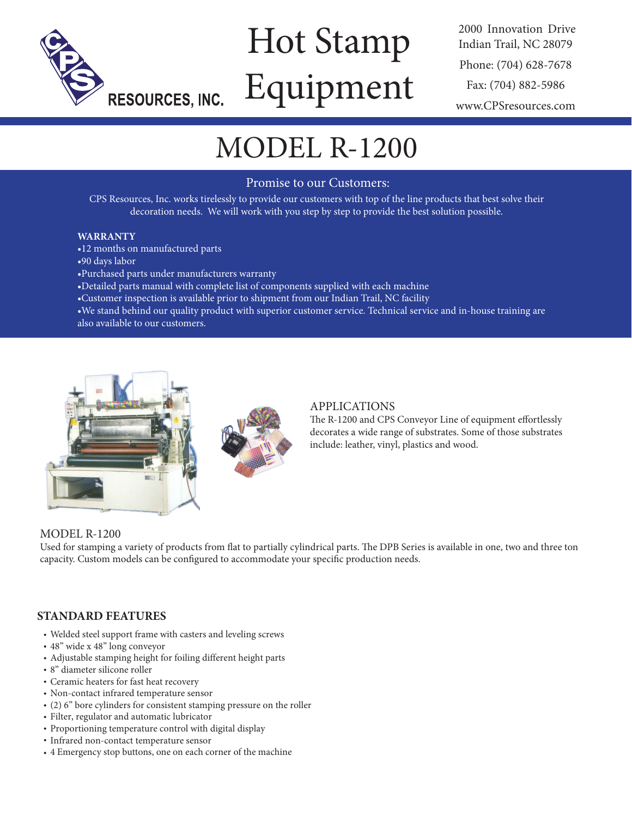

# Hot Stamp Equipment

2000 Innovation Drive Indian Trail, NC 28079 Phone: (704) 628-7678 Fax: (704) 882-5986 www.CPSresources.com

## MODEL R-1200

### Promise to our Customers:

CPS Resources, Inc. works tirelessly to provide our customers with top of the line products that best solve their decoration needs. We will work with you step by step to provide the best solution possible.

#### **WARRANTY**

- •12 months on manufactured parts
- •90 days labor
- •Purchased parts under manufacturers warranty
- •Detailed parts manual with complete list of components supplied with each machine
- •Customer inspection is available prior to shipment from our Indian Trail, NC facility
- •We stand behind our quality product with superior customer service. Technical service and in-house training are also available to our customers.



#### APPLICATIONS

The R-1200 and CPS Conveyor Line of equipment effortlessly decorates a wide range of substrates. Some of those substrates include: leather, vinyl, plastics and wood.

#### MODEL R-1200

Used for stamping a variety of products from flat to partially cylindrical parts. The DPB Series is available in one, two and three ton capacity. Custom models can be configured to accommodate your specific production needs.

#### **STANDARD FEATURES**

- Welded steel support frame with casters and leveling screws
- 48" wide x 48" long conveyor
- Adjustable stamping height for foiling different height parts
- 8" diameter silicone roller
- Ceramic heaters for fast heat recovery
- Non-contact infrared temperature sensor
- (2) 6" bore cylinders for consistent stamping pressure on the roller
- Filter, regulator and automatic lubricator
- Proportioning temperature control with digital display
- Infrared non-contact temperature sensor
- 4 Emergency stop buttons, one on each corner of the machine